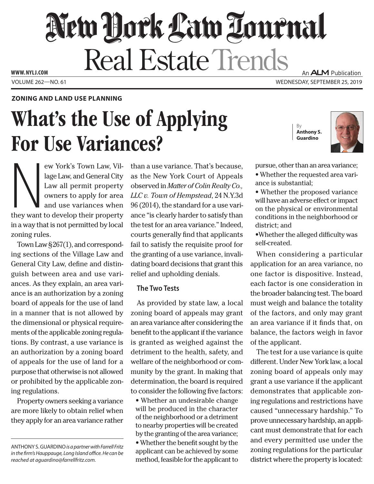# New York Law Tournal **Real Estate Trends** An ALM Publication **www. NYLJ.com**

Volume 262—NO. 61 Wednesday, September 25, 2019

## **Zoning and Land Use Planning**

# What's the Use of Applying For Use Variances?

By **Anthony S. Guardino**



ew York's Town Law, Village Law, and General City<br>Law all permit property<br>owners to apply for area<br>and use variances when<br>they want to develop their property ew York's Town Law, Village Law, and General City Law all permit property owners to apply for area and use variances when in a way that is not permitted by local zoning rules.

Town Law §267(1), and corresponding sections of the Village Law and General City Law, define and distinguish between area and use variances. As they explain, an area variance is an authorization by a zoning board of appeals for the use of land in a manner that is not allowed by the dimensional or physical requirements of the applicable zoning regulations. By contrast, a use variance is an authorization by a zoning board of appeals for the use of land for a purpose that otherwise is not allowed or prohibited by the applicable zoning regulations.

Property owners seeking a variance are more likely to obtain relief when they apply for an area variance rather

than a use variance. That's because, as the New York Court of Appeals observed in *Matter of Colin Realty Co., LLC v. Town of Hempstead*, 24 N.Y.3d 96 (2014), the standard for a use variance "is clearly harder to satisfy than the test for an area variance." Indeed, courts generally find that applicants fail to satisfy the requisite proof for the granting of a use variance, invalidating board decisions that grant this relief and upholding denials.

# **The Two Tests**

As provided by state law, a local zoning board of appeals may grant an area variance after considering the benefit to the applicant if the variance is granted as weighed against the detriment to the health, safety, and welfare of the neighborhood or community by the grant. In making that determination, the board is required to consider the following five factors:

• Whether an undesirable change will be produced in the character of the neighborhood or a detriment to nearby properties will be created by the granting of the area variance; • Whether the benefit sought by the applicant can be achieved by some method, feasible for the applicant to

pursue, other than an area variance;

- Whether the requested area variance is substantial;
- Whether the proposed variance will have an adverse effect or impact on the physical or environmental conditions in the neighborhood or district; and

•Whether the alleged difficulty was self-created.

When considering a particular application for an area variance, no one factor is dispositive. Instead, each factor is one consideration in the broader balancing test. The board must weigh and balance the totality of the factors, and only may grant an area variance if it finds that, on balance, the factors weigh in favor of the applicant.

The test for a use variance is quite different. Under New York law, a local zoning board of appeals only may grant a use variance if the applicant demonstrates that applicable zoning regulations and restrictions have caused "unnecessary hardship." To prove unnecessary hardship, an applicant must demonstrate that for each and every permitted use under the zoning regulations for the particular district where the property is located:

Anthony S. Guardino *is a partner with Farrell Fritz in the firm's Hauppauge, Long Island office. He can be reached at aguardino@farrellfritz.com.*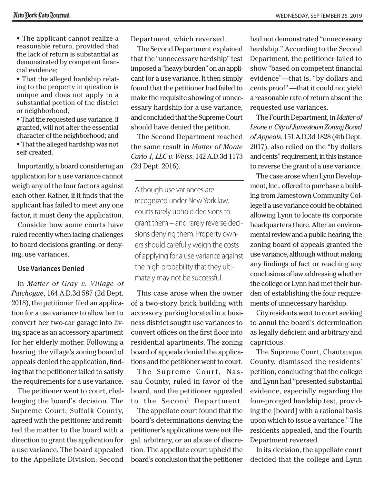• The applicant cannot realize a reasonable return, provided that the lack of return is substantial as demonstrated by competent financial evidence;

• That the alleged hardship relating to the property in question is unique and does not apply to a substantial portion of the district or neighborhood;

• That the requested use variance, if granted, will not alter the essential character of the neighborhood; and

• That the alleged hardship was not self-created.

Importantly, a board considering an application for a use variance cannot weigh any of the four factors against each other. Rather, if it finds that the applicant has failed to meet any one factor, it must deny the application.

Consider how some courts have ruled recently when facing challenges to board decisions granting, or denying, use variances.

### **Use Variances Denied**

In *Matter of Gray v. Village of Patchogue*, 164 A.D.3d 587 (2d Dept. 2018), the petitioner filed an application for a use variance to allow her to convert her two-car garage into living space as an accessory apartment for her elderly mother. Following a hearing, the village's zoning board of appeals denied the application, finding that the petitioner failed to satisfy the requirements for a use variance.

The petitioner went to court, challenging the board's decision. The Supreme Court, Suffolk County, agreed with the petitioner and remitted the matter to the board with a direction to grant the application for a use variance. The board appealed to the Appellate Division, Second Department, which reversed.

The Second Department explained that the "unnecessary hardship" test imposed a "heavy burden" on an applicant for a use variance. It then simply found that the petitioner had failed to make the requisite showing of unnecessary hardship for a use variance, and concluded that the Supreme Court should have denied the petition.

The Second Department reached the same result in *Matter of Monte Carlo 1, LLC v. Weiss*, 142 A.D.3d 1173 (2d Dept. 2016).

Although use variances are recognized under New York law, courts rarely uphold decisions to grant them – and rarely reverse decisions denying them. Property owners should carefully weigh the costs of applying for a use variance against the high probability that they ultimately may not be successful.

This case arose when the owner of a two-story brick building with accessory parking located in a business district sought use variances to convert offices on the first floor into residential apartments. The zoning board of appeals denied the applications and the petitioner went to court.

The Supreme Court, Nassau County, ruled in favor of the board, and the petitioner appealed to the Second Department.

The appellate court found that the board's determinations denying the petitioner's applications were not illegal, arbitrary, or an abuse of discretion. The appellate court upheld the board's conclusion that the petitioner

had not demonstrated "unnecessary hardship." According to the Second Department, the petitioner failed to show "based on competent financial evidence"—that is, "by dollars and cents proof" —that it could not yield a reasonable rate of return absent the requested use variances.

The Fourth Department, in *Matter of Leone v. City of Jamestown Zoning Board of Appeals*, 151 A.D.3d 1828 (4th Dept. 2017), also relied on the "by dollars and cents" requirement, in this instance to reverse the grant of a use variance.

The case arose when Lynn Development, Inc., offered to purchase a building from Jamestown Community College if a use variance could be obtained allowing Lynn to locate its corporate headquarters there. After an environmental review and a public hearing, the zoning board of appeals granted the use variance, although without making any findings of fact or reaching any conclusions of law addressing whether the college or Lynn had met their burden of establishing the four requirements of unnecessary hardship.

City residents went to court seeking to annul the board's determination as legally deficient and arbitrary and capricious.

The Supreme Court, Chautauqua County, dismissed the residents' petition, concluding that the college and Lynn had "presented substantial evidence, especially regarding the four-pronged hardship test, providing the [board] with a rational basis upon which to issue a variance." The residents appealed, and the Fourth Department reversed.

In its decision, the appellate court decided that the college and Lynn